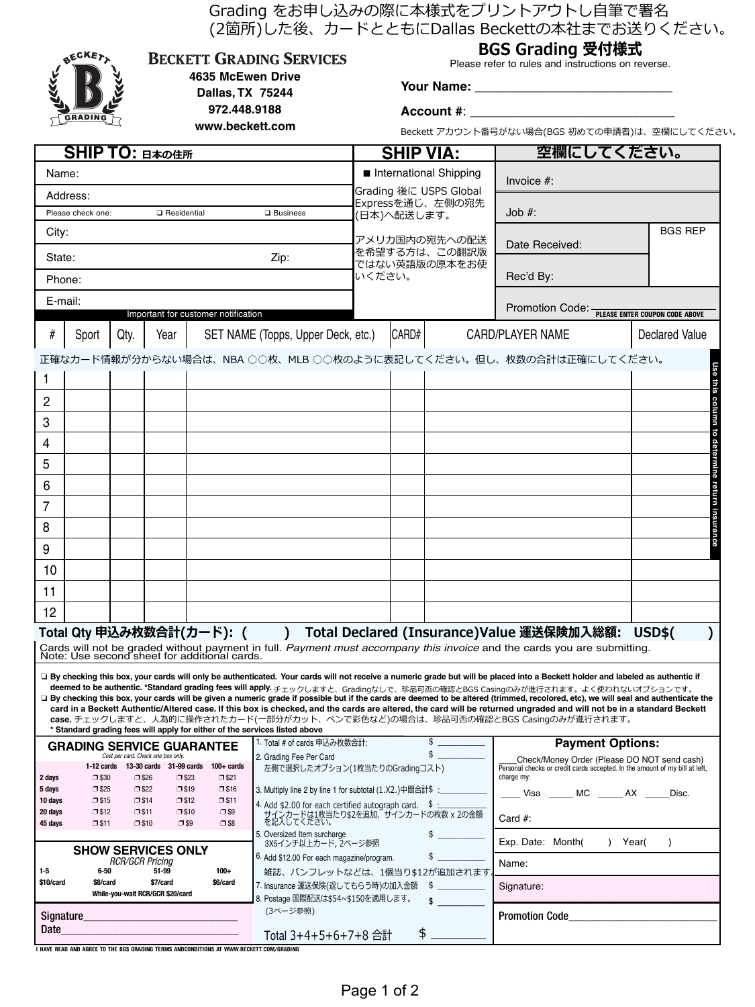|                                                                       | <b>ATT. DONGWOON LEE</b>                                             |                |                                                                      |                                                                            |                                                                                                                  |                                                           |                   |                                               | Grading をお申し込みの際に本様式をプリントアウトし自筆で署名<br>(2箇所)した後、カードとともにDallas Beckettの本社までお送りください。                                                                                                                                                                                                                                                                                                                                                                                                                                                                                                                                                                                                                                                                              |                |  |  |
|-----------------------------------------------------------------------|----------------------------------------------------------------------|----------------|----------------------------------------------------------------------|----------------------------------------------------------------------------|------------------------------------------------------------------------------------------------------------------|-----------------------------------------------------------|-------------------|-----------------------------------------------|----------------------------------------------------------------------------------------------------------------------------------------------------------------------------------------------------------------------------------------------------------------------------------------------------------------------------------------------------------------------------------------------------------------------------------------------------------------------------------------------------------------------------------------------------------------------------------------------------------------------------------------------------------------------------------------------------------------------------------------------------------------|----------------|--|--|
| <b>BECKET</b><br><b>BECKETT GRADING SERVICES</b><br>4635 McEwen Drive |                                                                      |                |                                                                      | BGS Grading 受付様式<br>Please refer to rules and instructions on reverse.     |                                                                                                                  |                                                           |                   |                                               |                                                                                                                                                                                                                                                                                                                                                                                                                                                                                                                                                                                                                                                                                                                                                                |                |  |  |
| Dallas, TX 75244                                                      |                                                                      |                |                                                                      |                                                                            |                                                                                                                  |                                                           |                   |                                               |                                                                                                                                                                                                                                                                                                                                                                                                                                                                                                                                                                                                                                                                                                                                                                |                |  |  |
| 972.448.9188<br><b>GRADING</b>                                        |                                                                      |                |                                                                      |                                                                            |                                                                                                                  |                                                           | <b>Account #:</b> |                                               |                                                                                                                                                                                                                                                                                                                                                                                                                                                                                                                                                                                                                                                                                                                                                                |                |  |  |
| www.beckett.com                                                       |                                                                      |                |                                                                      |                                                                            |                                                                                                                  |                                                           |                   | Beckett アカウント番号がない場合(BGS 初めての申請者)は、空欄にしてください。 |                                                                                                                                                                                                                                                                                                                                                                                                                                                                                                                                                                                                                                                                                                                                                                |                |  |  |
|                                                                       | <b>SHIP TO: 日本の住所</b>                                                |                |                                                                      |                                                                            |                                                                                                                  | <b>SHIP VIA:</b>                                          |                   |                                               | 空欄にしてください。                                                                                                                                                                                                                                                                                                                                                                                                                                                                                                                                                                                                                                                                                                                                                     |                |  |  |
| Name:                                                                 |                                                                      |                |                                                                      |                                                                            |                                                                                                                  | International Shipping                                    |                   |                                               | Invoice $#$ :                                                                                                                                                                                                                                                                                                                                                                                                                                                                                                                                                                                                                                                                                                                                                  |                |  |  |
| Address:                                                              |                                                                      |                |                                                                      |                                                                            |                                                                                                                  | Grading 後に USPS Global<br>Expressを通じ、左側の宛先                |                   |                                               |                                                                                                                                                                                                                                                                                                                                                                                                                                                                                                                                                                                                                                                                                                                                                                |                |  |  |
|                                                                       | Please check one:                                                    |                | <b>Q</b> Residential                                                 |                                                                            | $\square$ Business                                                                                               | (日本)へ配送します。                                               |                   |                                               | Job #:                                                                                                                                                                                                                                                                                                                                                                                                                                                                                                                                                                                                                                                                                                                                                         |                |  |  |
| City:                                                                 |                                                                      |                |                                                                      |                                                                            |                                                                                                                  | アメリカ国内の宛先への配送<br>を希望する方は、この翻訳版<br>ではない英語版の原本をお使<br>いください。 |                   |                                               | Date Received:                                                                                                                                                                                                                                                                                                                                                                                                                                                                                                                                                                                                                                                                                                                                                 | <b>BGS REP</b> |  |  |
| State:                                                                |                                                                      |                |                                                                      |                                                                            | Zip:                                                                                                             |                                                           |                   |                                               |                                                                                                                                                                                                                                                                                                                                                                                                                                                                                                                                                                                                                                                                                                                                                                |                |  |  |
|                                                                       | Phone:                                                               |                |                                                                      |                                                                            |                                                                                                                  |                                                           |                   |                                               | Rec'd By:                                                                                                                                                                                                                                                                                                                                                                                                                                                                                                                                                                                                                                                                                                                                                      |                |  |  |
|                                                                       | E-mail:                                                              |                |                                                                      |                                                                            |                                                                                                                  |                                                           |                   |                                               | Promotion Code: - PLEASE ENTER COUPON CODE ABOVE                                                                                                                                                                                                                                                                                                                                                                                                                                                                                                                                                                                                                                                                                                               |                |  |  |
| #                                                                     |                                                                      |                | Year                                                                 | Important for customer notification                                        | SET NAME (Topps, Upper Deck, etc.)                                                                               |                                                           | CARD#             |                                               | CARD/PLAYER NAME                                                                                                                                                                                                                                                                                                                                                                                                                                                                                                                                                                                                                                                                                                                                               | Declared Value |  |  |
|                                                                       | Sport                                                                | Qty.           |                                                                      |                                                                            |                                                                                                                  |                                                           |                   |                                               |                                                                                                                                                                                                                                                                                                                                                                                                                                                                                                                                                                                                                                                                                                                                                                |                |  |  |
|                                                                       |                                                                      |                |                                                                      |                                                                            |                                                                                                                  |                                                           |                   |                                               | 正確なカード情報が分からない場合は、NBA ○○枚、MLB ○○枚のように表記してください。但し、枚数の合計は正確にしてください。                                                                                                                                                                                                                                                                                                                                                                                                                                                                                                                                                                                                                                                                                              |                |  |  |
| 1                                                                     |                                                                      |                |                                                                      |                                                                            |                                                                                                                  |                                                           |                   |                                               |                                                                                                                                                                                                                                                                                                                                                                                                                                                                                                                                                                                                                                                                                                                                                                |                |  |  |
| 2                                                                     |                                                                      |                |                                                                      |                                                                            |                                                                                                                  |                                                           |                   |                                               |                                                                                                                                                                                                                                                                                                                                                                                                                                                                                                                                                                                                                                                                                                                                                                |                |  |  |
| 3                                                                     |                                                                      |                |                                                                      |                                                                            |                                                                                                                  |                                                           |                   |                                               |                                                                                                                                                                                                                                                                                                                                                                                                                                                                                                                                                                                                                                                                                                                                                                |                |  |  |
| 4                                                                     |                                                                      |                |                                                                      |                                                                            |                                                                                                                  |                                                           |                   |                                               |                                                                                                                                                                                                                                                                                                                                                                                                                                                                                                                                                                                                                                                                                                                                                                |                |  |  |
| 5                                                                     |                                                                      |                |                                                                      |                                                                            |                                                                                                                  |                                                           |                   |                                               |                                                                                                                                                                                                                                                                                                                                                                                                                                                                                                                                                                                                                                                                                                                                                                |                |  |  |
| 6                                                                     |                                                                      |                |                                                                      |                                                                            |                                                                                                                  |                                                           |                   |                                               |                                                                                                                                                                                                                                                                                                                                                                                                                                                                                                                                                                                                                                                                                                                                                                |                |  |  |
| $\overline{7}$                                                        |                                                                      |                |                                                                      |                                                                            |                                                                                                                  |                                                           |                   |                                               |                                                                                                                                                                                                                                                                                                                                                                                                                                                                                                                                                                                                                                                                                                                                                                |                |  |  |
| 8                                                                     |                                                                      |                |                                                                      |                                                                            |                                                                                                                  |                                                           |                   |                                               |                                                                                                                                                                                                                                                                                                                                                                                                                                                                                                                                                                                                                                                                                                                                                                |                |  |  |
| 9                                                                     |                                                                      |                |                                                                      |                                                                            |                                                                                                                  |                                                           |                   |                                               |                                                                                                                                                                                                                                                                                                                                                                                                                                                                                                                                                                                                                                                                                                                                                                |                |  |  |
| 10                                                                    |                                                                      |                |                                                                      |                                                                            |                                                                                                                  |                                                           |                   |                                               |                                                                                                                                                                                                                                                                                                                                                                                                                                                                                                                                                                                                                                                                                                                                                                |                |  |  |
| 11                                                                    |                                                                      |                |                                                                      |                                                                            |                                                                                                                  |                                                           |                   |                                               |                                                                                                                                                                                                                                                                                                                                                                                                                                                                                                                                                                                                                                                                                                                                                                |                |  |  |
| 12                                                                    |                                                                      |                |                                                                      |                                                                            |                                                                                                                  |                                                           |                   |                                               |                                                                                                                                                                                                                                                                                                                                                                                                                                                                                                                                                                                                                                                                                                                                                                |                |  |  |
|                                                                       |                                                                      |                |                                                                      | Total Qty 申込み枚数合計(カード): (                                                  | $\lambda$                                                                                                        |                                                           |                   |                                               | Total Declared (Insurance)Value 運送保険加入総額:<br>Cards will not be graded without payment in full. Payment must accompany this invoice and the cards you are submitting.                                                                                                                                                                                                                                                                                                                                                                                                                                                                                                                                                                                           | <b>USD\$(</b>  |  |  |
|                                                                       |                                                                      |                |                                                                      | Note: Use second sheet for additional cards.                               | * Standard grading fees will apply for either of the services listed above                                       |                                                           |                   |                                               | □ By checking this box, your cards will only be authenticated. Your cards will not receive a numeric grade but will be placed into a Beckett holder and labeled as authentic if<br>deemed to be authentic. *Standard grading fees will apply. チェックしますと、Gradingなしで、珍品可否の確認とBGS Casingのみが進行されます。よく使われないオプションです。<br>□ By checking this box, your cards will be given a numeric grade if possible but if the cards are deemed to be altered (trimmed, recolored, etc), we will seal and authenticate the<br>card in a Beckett Authentic/Altered case. If this box is checked, and the cards are altered, the card will be returned ungraded and will not be in a standard Beckett<br>case. チェックしますと、人為的に操作されたカード(一部分がカット、ペンで彩色など)の場合は、珍品可否の確認とBGS Casingのみが進行されます。 |                |  |  |
|                                                                       |                                                                      |                | Cost per card. Check one box only.                                   | <b>GRADING SERVICE GUARANTEE</b>                                           | 1. Total # of cards 申込み枚数合計:                                                                                     |                                                           |                   | \$<br>\$                                      | <b>Payment Options:</b>                                                                                                                                                                                                                                                                                                                                                                                                                                                                                                                                                                                                                                                                                                                                        |                |  |  |
|                                                                       |                                                                      |                |                                                                      | 1-12 cards $13-30$ cards $31-99$ cards $100+$ cards                        | 2. Grading Fee Per Card<br>左側で選択したオプション(1枚当たりのGradingコスト)                                                        |                                                           |                   |                                               | Check/Money Order (Please DO NOT send cash)<br>Personal checks or credit cards accepted. In the amount of my bill at left,<br>charge my:                                                                                                                                                                                                                                                                                                                                                                                                                                                                                                                                                                                                                       |                |  |  |
| 2 days<br>5 days                                                      | $\square$ \$30<br>$\square$ \$25                                     |                | $\square$ \$26<br>$\square$ \$23<br>$\square$ \$22<br>$\square$ \$19 | $\square$ \$21<br>$\square$ \$16                                           | 3. Multiply line 2 by line 1 for subtotal (1.X2.)中間合計\$:                                                         |                                                           |                   |                                               | _____ Visa ______ MC ______ AX _____Disc.                                                                                                                                                                                                                                                                                                                                                                                                                                                                                                                                                                                                                                                                                                                      |                |  |  |
| 10 days<br>20 days                                                    | $\square$ \$15<br>$\square$ \$12                                     | $\square$ \$11 | $\square$ \$14<br>$\square$ \$12<br>$\square$ \$10                   | $\square$ \$11<br>$\square$ \$9                                            | 4. Add \$2.00 for each certified autograph card. $\delta$ :<br>サインカードは1枚当たり\$2を追加、サインカードの枚数 x 2の金額<br>を記入してください。 |                                                           |                   |                                               |                                                                                                                                                                                                                                                                                                                                                                                                                                                                                                                                                                                                                                                                                                                                                                |                |  |  |
| 45 days                                                               | $\square$ \$11                                                       |                | $\square$ \$10<br>$\square$ \$9                                      | $\square$ \$8                                                              | 5. Oversized Item surcharge                                                                                      |                                                           |                   |                                               | Card $#$ :                                                                                                                                                                                                                                                                                                                                                                                                                                                                                                                                                                                                                                                                                                                                                     |                |  |  |
| <b>SHOW SERVICES ONLY</b>                                             |                                                                      |                |                                                                      | 3X5インチ以上カード, 2ページ参照<br><sup>6</sup> Add \$12.00 For each magazine/program. |                                                                                                                  |                                                           |                   | Exp. Date: Month(<br>Year(<br>$\lambda$       |                                                                                                                                                                                                                                                                                                                                                                                                                                                                                                                                                                                                                                                                                                                                                                |                |  |  |
| $1-5$                                                                 | 6-50                                                                 |                | <b>RCR/GCR Pricing</b><br>51-99<br>$100+$                            |                                                                            | 雑誌、パンフレットなどは、1個当り\$12が追加されます                                                                                     |                                                           |                   |                                               | Name:                                                                                                                                                                                                                                                                                                                                                                                                                                                                                                                                                                                                                                                                                                                                                          |                |  |  |
| \$10/card                                                             | \$8/card<br>\$7/card<br>\$6/card<br>While-you-wait RCR/GCR \$20/card |                |                                                                      | 7. Insurance 運送保険(返してもらう時)の加入金額<br>\$<br>8. Postage 国際配送は\$54~\$150を適用します。 |                                                                                                                  |                                                           |                   | Signature:                                    |                                                                                                                                                                                                                                                                                                                                                                                                                                                                                                                                                                                                                                                                                                                                                                |                |  |  |
|                                                                       | <b>Signature</b>                                                     |                |                                                                      |                                                                            | (3ページ参照)                                                                                                         |                                                           |                   |                                               | <b>Promotion Code</b>                                                                                                                                                                                                                                                                                                                                                                                                                                                                                                                                                                                                                                                                                                                                          |                |  |  |
| Date                                                                  |                                                                      |                |                                                                      | Total 3+4+5+6+7+8 合計                                                       |                                                                                                                  | \$                                                        |                   |                                               |                                                                                                                                                                                                                                                                                                                                                                                                                                                                                                                                                                                                                                                                                                                                                                |                |  |  |

**I HAVE READ AND AGREE TO THE BGS GRADING TERMS ANDCONDITIONS AT WWW.BECKETT.COM/GRADING**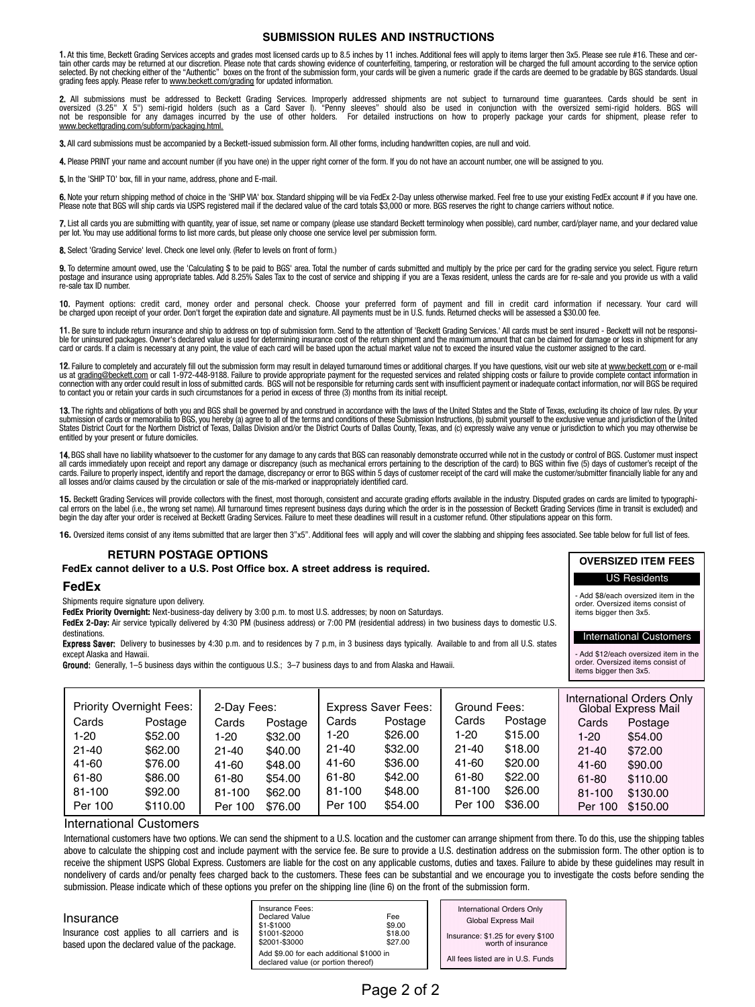### **SUBMISSION RULES AND INSTRUCTIONS**

1. At this time, Beckett Grading Services accepts and grades most licensed cards up to 8.5 inches by 11 inches. Additional fees will apply to items larger then 3x5. Please see rule #16. These and cer-<br>tain other cards may grading fees apply. Please refer to www.beckett.com/grading for updated information.

**2.** All submissions must be addressed to Beckett Grading Services. Improperly addressed shipments are not subject to turnaround time guarantees. Cards should be sent in<br>oversized (3.25" X 5") semi-rigid holders (such as a www.beckettgrading.com/subform/packaging.html.

3. All card submissions must be accompanied by a Beckett-issued submission form. All other forms, including handwritten copies, are null and void.

4. Please PRINT your name and account number (if you have one) in the upper right corner of the form. If you do not have an account number, one will be assigned to you.

5. In the 'SHIP TO' box, fill in your name, address, phone and E-mail.

**6.** Note your return shipping method of choice in the 'SHIP VIA' box. Standard shipping will be via FedEx 2-Day unless otherwise marked. Feel free to use your existing FedEx account # if you have one.<br>Please note that BGS

**7.** List all cards you are submitting with quantity, year of issue, set name or company (please use standard Beckett terminology when possible), card number, card/player name, and your declared value<br>per lot. You may use

8. Select 'Grading Service' level. Check one level only. (Refer to levels on front of form.)

9. To determine amount owed, use the 'Calculating \$ to be paid to BGS' area. Total the number of cards submitted and multiply by the price per card for the grading service you select. Figure return postage and insurance using appropriate tables. Add 8.25% Sales Tax to the cost of service and shipping if you are a Texas resident, unless the cards are for re-sale and you provide us with a valid re-sale tax ID number.

**10.** Payment options: credit card, money order and personal check. Choose your preferred form of payment and fill in credit card information if necessary. Your card will<br>be charged upon receipt of your order. Don't forget

**11.** Be sure to include return insurance and ship to address on top of submission form. Send to the attention of 'Beckett Grading Services.' All cards must be sent insured - Beckett will not be responsi-<br>ble for uninsured card or cards. If a claim is necessary at any point, the value of each card will be based upon the actual market value not to exceed the insured value the customer assigned to the card.

12. Failure to completely and accurately fill out the submission form may result in delayed turnaround times or additional charges. If you have questions, visit our web site at www.beckett.com or e-mail us at <u>grading@beckett.com</u> or call 1-972-448-9188. Failure to provide appropriate payment for the requested services and related shipping costs or failure to provide complete contact information in<br>connection with any ord

**13.** The rights and obligations of both you and BGS shall be governed by and construed in accordance with the laws of the United States and the State of Texas, excluding its choice of law rules. By your<br>submission of card States District Court for the Northern District of Texas, Dallas Division and/or the District Courts of Dallas County, Texas, and (c) expressly waive any venue or jurisdiction to which you may otherwise be entitled by your present or future domiciles.

14. BGS shall have no liability whatsoever to the customer for any damage to any cards that BGS can reasonably demonstrate occurred while not in the custody or control of BGS. Customer must inspect all cards immediately upon receipt and report any damage or discrepancy (such as mechanical errors pertaining to the description of the card) to BGS within five (5) days of customer's receipt of the<br>cards. Failure to prope all losses and/or claims caused by the circulation or sale of the mis-marked or inappropriately identified card.

15. Beckett Grading Services will provide collectors with the finest, most thorough, consistent and accurate grading efforts available in the industry. Disputed grades on cards are limited to typographical errors on the label (i.e., the wrong set name). All turnaround times represent business days during which the order is in the possession of Beckett Grading Services (time in transit is excluded) and<br>begin the day after

**16.** Oversized items consist of any items submitted that are larger then 3"x5". Additional fees will apply and will cover the slabbing and shipping fees associated. See table below for full list of fees.

**OVERSIZED ITEM FEES** US Residents - Add \$8/each oversized item in the order. Oversized items consist of items bigger then 3x5.

International Customers - Add \$12/each oversized item in the order. Oversized items consist of items bigger then 3x5.

#### **RETURN POSTAGE OPTIONS**

#### **FedEx cannot deliver to a U.S. Post Office box. A street address is required.**

#### **FedEx**

Shipments require signature upon delivery.

**FedEx Priority Overnight:** Next-business-day delivery by 3:00 p.m. to most U.S. addresses; by noon on Saturdays.

**FedEx 2-Day:** Air service typically delivered by 4:30 PM (business address) or 7:00 PM (residential address) in two business days to domestic U.S. destinations.

Express Saver: Delivery to businesses by 4:30 p.m. and to residences by 7 p.m, in 3 business days typically. Available to and from all U.S. states except Alaska and Hawaii.

Ground: Generally, 1–5 business days within the contiguous U.S.; 3–7 business days to and from Alaska and Hawaii.

|           | <b>Priority Overnight Fees:</b> | 2-Day Fees: |         | <b>Express Saver Fees:</b> |         | Ground Fees: |         | International Orders Only<br>Global Express Mail |          |
|-----------|---------------------------------|-------------|---------|----------------------------|---------|--------------|---------|--------------------------------------------------|----------|
| Cards     | Postage                         | Cards       | Postage | Cards                      | Postage | Cards        | Postage | Cards                                            | Postage  |
| 1-20      | \$52.00                         | 1-20        | \$32.00 | 1-20                       | \$26.00 | 1-20         | \$15.00 | $1 - 20$                                         | \$54.00  |
| $21 - 40$ | \$62.00                         | $21 - 40$   | \$40.00 | $21 - 40$                  | \$32.00 | $21 - 40$    | \$18.00 | $21 - 40$                                        | \$72.00  |
| 41-60     | \$76.00                         | 41-60       | \$48.00 | 41-60                      | \$36.00 | 41-60        | \$20.00 | 41-60                                            | \$90.00  |
| 61-80     | \$86,00                         | 61-80       | \$54.00 | 61-80                      | \$42.00 | 61-80        | \$22.00 | 61-80                                            | \$110.00 |
| 81-100    | \$92.00                         | 81-100      | \$62.00 | 81-100                     | \$48.00 | 81-100       | \$26.00 | 81-100                                           | \$130.00 |
| Per 100   | \$110.00                        | Per 100     | \$76.00 | Per 100                    | \$54.00 | Per 100      | \$36.00 | Per 100                                          | \$150.00 |

#### International Customers

International customers have two options. We can send the shipment to a U.S. location and the customer can arrange shipment from there. To do this, use the shipping tables above to calculate the shipping cost and include payment with the service fee. Be sure to provide a U.S. destination address on the submission form. The other option is to receive the shipment USPS Global Express. Customers are liable for the cost on any applicable customs, duties and taxes. Failure to abide by these guidelines may result in nondelivery of cards and/or penalty fees charged back to the customers. These fees can be substantial and we encourage you to investigate the costs before sending the submission. Please indicate which of these options you prefer on the shipping line (line 6) on the front of the submission form.

| Insurance<br>Insurance cost applies to all carriers and is<br>based upon the declared value of the package. | Insurance Fees:<br>Declared Value<br>\$1-\$1000<br>\$1001-\$2000<br>\$2001-\$3000 | Fee<br>\$9.00<br>\$18.00<br>\$27.00 |  | <b>International Orders Only</b><br>Global Express Mail<br>Insurance: \$1.25 for every \$100<br>worth of insurance |
|-------------------------------------------------------------------------------------------------------------|-----------------------------------------------------------------------------------|-------------------------------------|--|--------------------------------------------------------------------------------------------------------------------|
|                                                                                                             | Add \$9.00 for each additional \$1000 in<br>declared value (or portion thereof)   |                                     |  | All fees listed are in U.S. Funds                                                                                  |

# Page 2 of 2